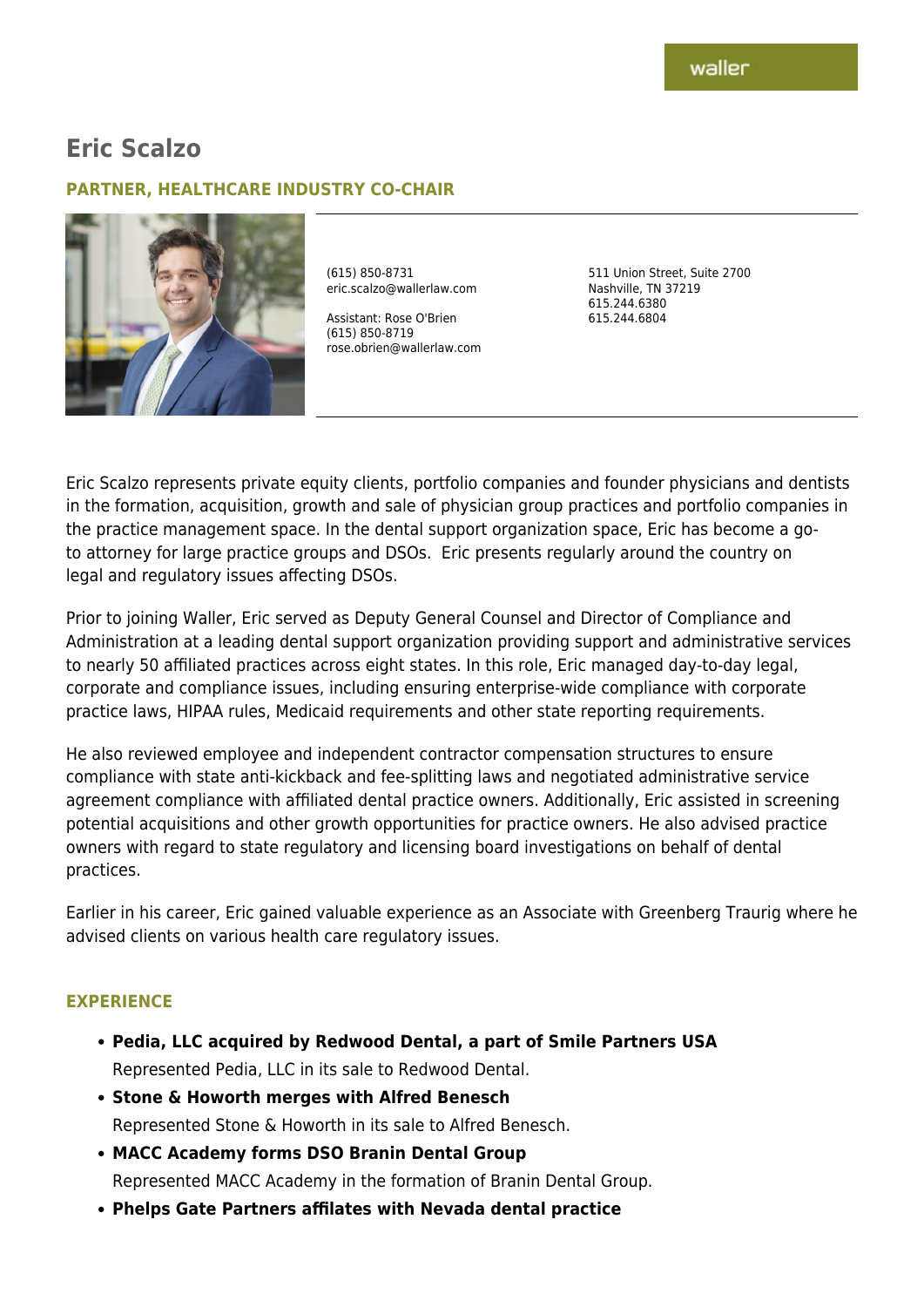# **Eric Scalzo**

### **PARTNER, HEALTHCARE INDUSTRY CO-CHAIR**



(615) 850-8731 eric.scalzo@wallerlaw.com

Assistant: Rose O'Brien (615) 850-8719 rose.obrien@wallerlaw.com 511 Union Street, Suite 2700 Nashville, TN 37219 615.244.6380 615.244.6804

Eric Scalzo represents private equity clients, portfolio companies and founder physicians and dentists in the formation, acquisition, growth and sale of physician group practices and portfolio companies in the practice management space. In the dental support organization space, Eric has become a goto attorney for large practice groups and DSOs. Eric presents regularly around the country on legal and regulatory issues affecting DSOs.

Prior to joining Waller, Eric served as Deputy General Counsel and Director of Compliance and Administration at a leading dental support organization providing support and administrative services to nearly 50 affiliated practices across eight states. In this role, Eric managed day-to-day legal, corporate and compliance issues, including ensuring enterprise-wide compliance with corporate practice laws, HIPAA rules, Medicaid requirements and other state reporting requirements.

He also reviewed employee and independent contractor compensation structures to ensure compliance with state anti-kickback and fee-splitting laws and negotiated administrative service agreement compliance with affiliated dental practice owners. Additionally, Eric assisted in screening potential acquisitions and other growth opportunities for practice owners. He also advised practice owners with regard to state regulatory and licensing board investigations on behalf of dental practices.

Earlier in his career, Eric gained valuable experience as an Associate with Greenberg Traurig where he advised clients on various health care regulatory issues.

#### **EXPERIENCE**

- **Pedia, LLC acquired by Redwood Dental, a part of Smile Partners USA** Represented Pedia, LLC in its sale to Redwood Dental.
- **Stone & Howorth merges with Alfred Benesch** Represented Stone & Howorth in its sale to Alfred Benesch.
- **MACC Academy forms DSO Branin Dental Group** Represented MACC Academy in the formation of Branin Dental Group.
- **Phelps Gate Partners affilates with Nevada dental practice**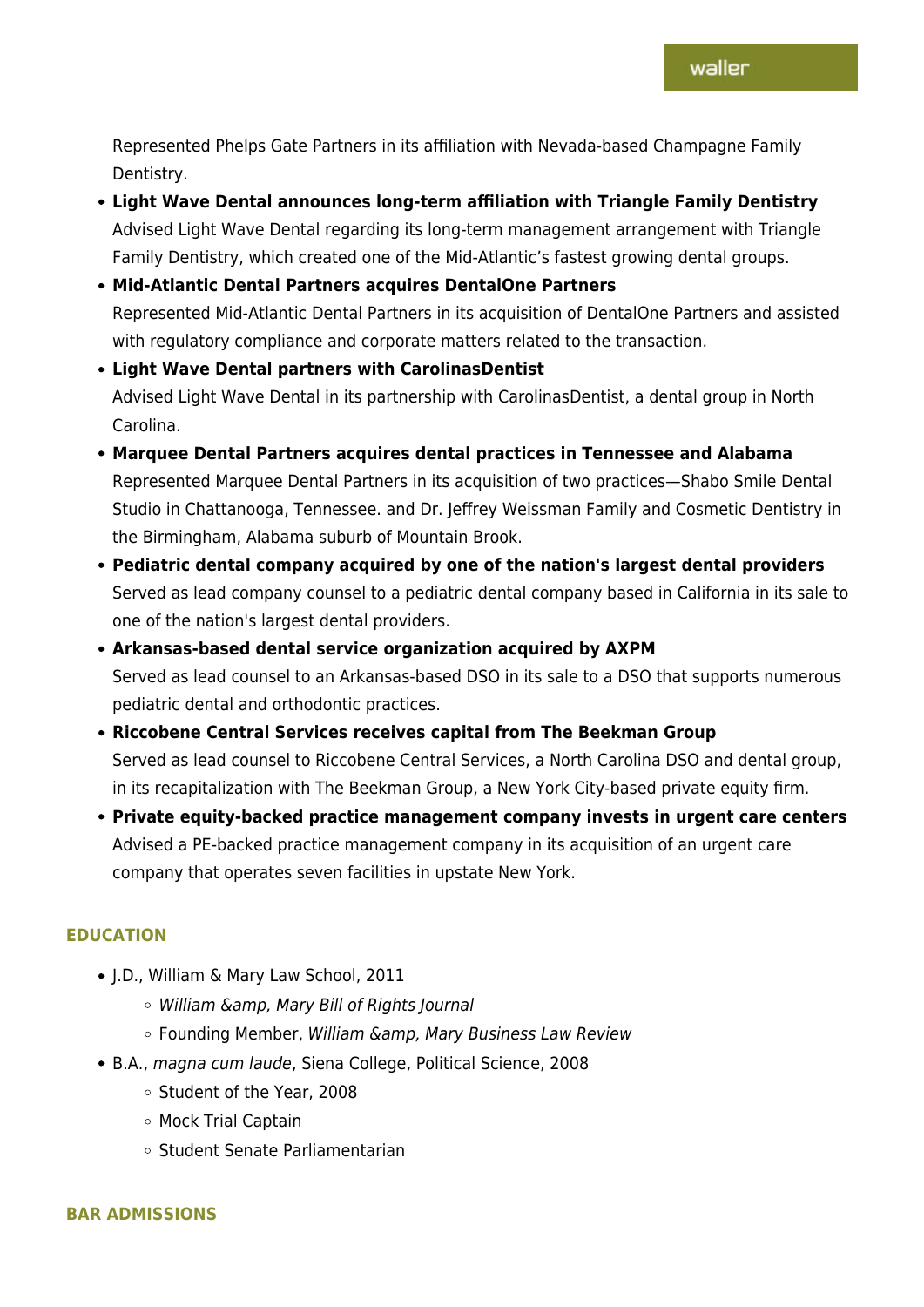Represented Phelps Gate Partners in its affiliation with Nevada-based Champagne Family Dentistry.

**Light Wave Dental announces long-term affiliation with Triangle Family Dentistry** Advised Light Wave Dental regarding its long-term management arrangement with Triangle Family Dentistry, which created one of the Mid-Atlantic's fastest growing dental groups.

# **Mid-Atlantic Dental Partners acquires DentalOne Partners** Represented Mid-Atlantic Dental Partners in its acquisition of DentalOne Partners and assisted with regulatory compliance and corporate matters related to the transaction.

# **Light Wave Dental partners with CarolinasDentist** Advised Light Wave Dental in its partnership with CarolinasDentist, a dental group in North Carolina.

### **Marquee Dental Partners acquires dental practices in Tennessee and Alabama** Represented Marquee Dental Partners in its acquisition of two practices—Shabo Smile Dental Studio in Chattanooga, Tennessee. and Dr. Jeffrey Weissman Family and Cosmetic Dentistry in the Birmingham, Alabama suburb of Mountain Brook.

**Pediatric dental company acquired by one of the nation's largest dental providers** Served as lead company counsel to a pediatric dental company based in California in its sale to one of the nation's largest dental providers.

# **Arkansas-based dental service organization acquired by AXPM** Served as lead counsel to an Arkansas-based DSO in its sale to a DSO that supports numerous pediatric dental and orthodontic practices.

- **Riccobene Central Services receives capital from The Beekman Group** Served as lead counsel to Riccobene Central Services, a North Carolina DSO and dental group, in its recapitalization with The Beekman Group, a New York City‐based private equity firm.
- **Private equity-backed practice management company invests in urgent care centers** Advised a PE-backed practice management company in its acquisition of an urgent care company that operates seven facilities in upstate New York.

### **EDUCATION**

- J.D., William & Mary Law School, 2011
	- $\circ$  William &amp, Mary Bill of Rights Journal
	- o Founding Member, William & amp, Mary Business Law Review
- B.A., magna cum laude, Siena College, Political Science, 2008
	- <sup>o</sup> Student of the Year, 2008
	- Mock Trial Captain
	- Student Senate Parliamentarian

### **BAR ADMISSIONS**